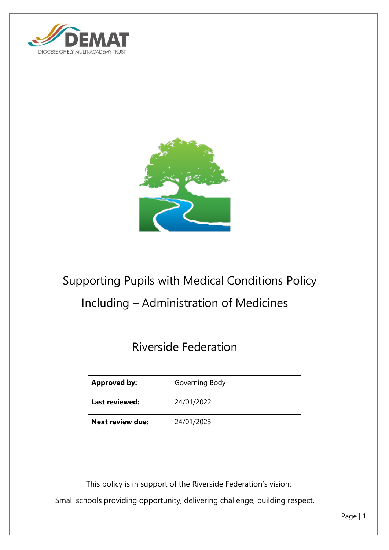



# Supporting Pupils with Medical Conditions Policy Including – Administration of Medicines

# Riverside Federation

| <b>Approved by:</b>     | Governing Body |
|-------------------------|----------------|
| Last reviewed:          | 24/01/2022     |
| <b>Next review due:</b> | 24/01/2023     |

This policy is in support of the Riverside Federation's vision:

Small schools providing opportunity, delivering challenge, building respect.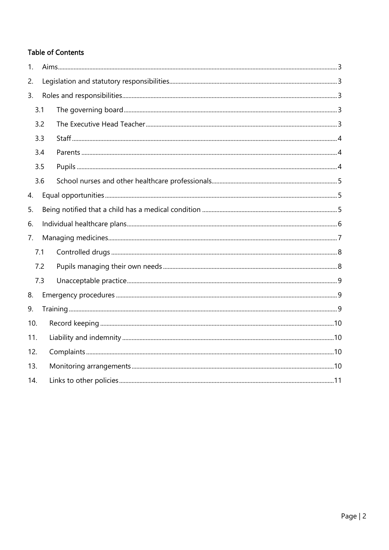# **Table of Contents**

| 1.  |     |  |  |
|-----|-----|--|--|
| 2.  |     |  |  |
| 3.  |     |  |  |
|     | 3.1 |  |  |
| 3.2 |     |  |  |
|     | 3.3 |  |  |
|     | 3.4 |  |  |
|     | 3.5 |  |  |
|     | 3.6 |  |  |
| 4.  |     |  |  |
| 5.  |     |  |  |
| 6.  |     |  |  |
| 7.  |     |  |  |
| 7.1 |     |  |  |
| 7.2 |     |  |  |
|     | 7.3 |  |  |
| 8.  |     |  |  |
| 9.  |     |  |  |
| 10. |     |  |  |
| 11. |     |  |  |
| 12. |     |  |  |
| 13. |     |  |  |
| 14. |     |  |  |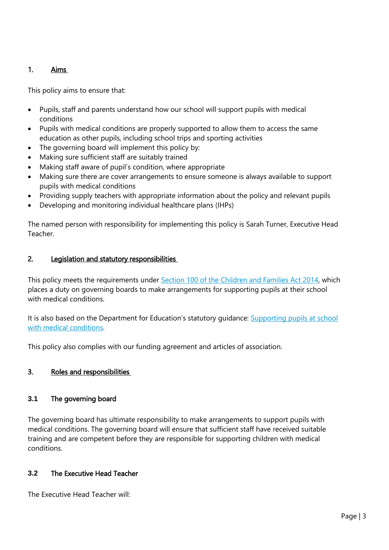# <span id="page-2-0"></span>1. Aims

This policy aims to ensure that:

- Pupils, staff and parents understand how our school will support pupils with medical conditions
- Pupils with medical conditions are properly supported to allow them to access the same education as other pupils, including school trips and sporting activities
- The governing board will implement this policy by:
- Making sure sufficient staff are suitably trained
- Making staff aware of pupil's condition, where appropriate
- Making sure there are cover arrangements to ensure someone is always available to support pupils with medical conditions
- Providing supply teachers with appropriate information about the policy and relevant pupils
- Developing and monitoring individual healthcare plans (IHPs)

The named person with responsibility for implementing this policy is Sarah Turner, Executive Head Teacher.

#### <span id="page-2-1"></span>2. Legislation and statutory responsibilities

This policy meets the requirements under [Section 100 of the Children and Families Act 2014,](http://www.legislation.gov.uk/ukpga/2014/6/part/5/crossheading/pupils-with-medical-conditions) which places a duty on governing boards to make arrangements for supporting pupils at their school with medical conditions.

It is also based on the Department for Education's statutory guidance: Supporting pupils at school [with medical conditions.](https://www.gov.uk/government/uploads/system/uploads/attachment_data/file/484418/supporting-pupils-at-school-with-medical-conditions.pdf)

This policy also complies with our funding agreement and articles of association.

# <span id="page-2-2"></span>3. Roles and responsibilities

#### <span id="page-2-3"></span>**3.1** The governing board

The governing board has ultimate responsibility to make arrangements to support pupils with medical conditions. The governing board will ensure that sufficient staff have received suitable training and are competent before they are responsible for supporting children with medical conditions.

# <span id="page-2-4"></span>**3.2** The Executive Head Teacher

The Executive Head Teacher will: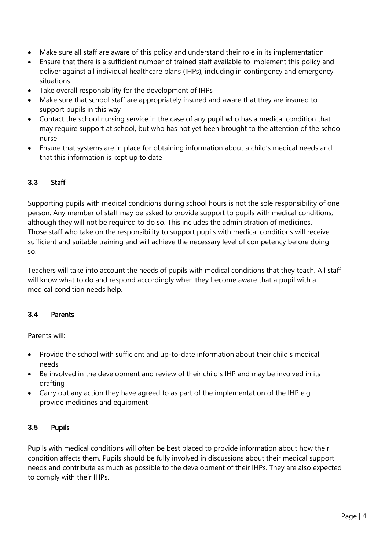- Make sure all staff are aware of this policy and understand their role in its implementation
- Ensure that there is a sufficient number of trained staff available to implement this policy and deliver against all individual healthcare plans (IHPs), including in contingency and emergency situations
- Take overall responsibility for the development of IHPs
- Make sure that school staff are appropriately insured and aware that they are insured to support pupils in this way
- Contact the school nursing service in the case of any pupil who has a medical condition that may require support at school, but who has not yet been brought to the attention of the school nurse
- Ensure that systems are in place for obtaining information about a child's medical needs and that this information is kept up to date

#### <span id="page-3-0"></span>**3.3** Staff

Supporting pupils with medical conditions during school hours is not the sole responsibility of one person. Any member of staff may be asked to provide support to pupils with medical conditions, although they will not be required to do so. This includes the administration of medicines. Those staff who take on the responsibility to support pupils with medical conditions will receive sufficient and suitable training and will achieve the necessary level of competency before doing so.

Teachers will take into account the needs of pupils with medical conditions that they teach. All staff will know what to do and respond accordingly when they become aware that a pupil with a medical condition needs help.

#### <span id="page-3-1"></span>**3.4** Parents

Parents will:

- Provide the school with sufficient and up-to-date information about their child's medical needs
- Be involved in the development and review of their child's IHP and may be involved in its drafting
- Carry out any action they have agreed to as part of the implementation of the IHP e.g. provide medicines and equipment

#### <span id="page-3-2"></span>**3.5** Pupils

Pupils with medical conditions will often be best placed to provide information about how their condition affects them. Pupils should be fully involved in discussions about their medical support needs and contribute as much as possible to the development of their IHPs. They are also expected to comply with their IHPs.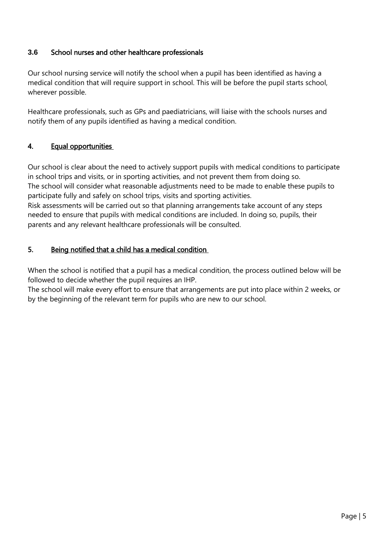## <span id="page-4-0"></span>**3.6** School nurses and other healthcare professionals

Our school nursing service will notify the school when a pupil has been identified as having a medical condition that will require support in school. This will be before the pupil starts school, wherever possible.

Healthcare professionals, such as GPs and paediatricians, will liaise with the schools nurses and notify them of any pupils identified as having a medical condition.

#### <span id="page-4-1"></span>4. Equal opportunities

Our school is clear about the need to actively support pupils with medical conditions to participate in school trips and visits, or in sporting activities, and not prevent them from doing so. The school will consider what reasonable adjustments need to be made to enable these pupils to participate fully and safely on school trips, visits and sporting activities. Risk assessments will be carried out so that planning arrangements take account of any steps

needed to ensure that pupils with medical conditions are included. In doing so, pupils, their parents and any relevant healthcare professionals will be consulted.

#### <span id="page-4-2"></span>5. Being notified that a child has a medical condition

When the school is notified that a pupil has a medical condition, the process outlined below will be followed to decide whether the pupil requires an IHP.

The school will make every effort to ensure that arrangements are put into place within 2 weeks, or by the beginning of the relevant term for pupils who are new to our school.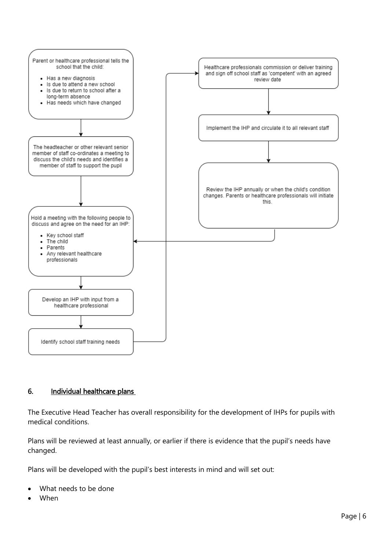

#### <span id="page-5-0"></span>6. Individual healthcare plans

The Executive Head Teacher has overall responsibility for the development of IHPs for pupils with medical conditions.

Plans will be reviewed at least annually, or earlier if there is evidence that the pupil's needs have changed.

Plans will be developed with the pupil's best interests in mind and will set out:

- What needs to be done
- When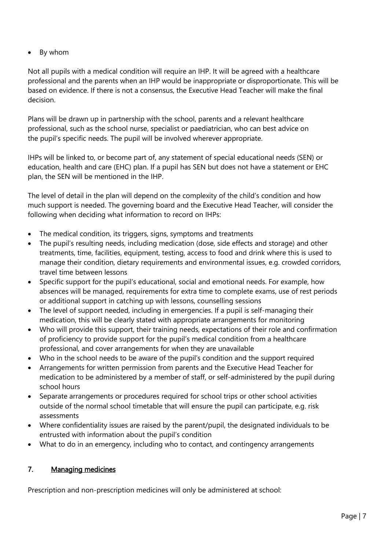• By whom

Not all pupils with a medical condition will require an IHP. It will be agreed with a healthcare professional and the parents when an IHP would be inappropriate or disproportionate. This will be based on evidence. If there is not a consensus, the Executive Head Teacher will make the final decision.

Plans will be drawn up in partnership with the school, parents and a relevant healthcare professional, such as the school nurse, specialist or paediatrician, who can best advice on the pupil's specific needs. The pupil will be involved wherever appropriate.

IHPs will be linked to, or become part of, any statement of special educational needs (SEN) or education, health and care (EHC) plan. If a pupil has SEN but does not have a statement or EHC plan, the SEN will be mentioned in the IHP.

The level of detail in the plan will depend on the complexity of the child's condition and how much support is needed. The governing board and the Executive Head Teacher, will consider the following when deciding what information to record on IHPs:

- The medical condition, its triggers, signs, symptoms and treatments
- The pupil's resulting needs, including medication (dose, side effects and storage) and other treatments, time, facilities, equipment, testing, access to food and drink where this is used to manage their condition, dietary requirements and environmental issues, e.g. crowded corridors, travel time between lessons
- Specific support for the pupil's educational, social and emotional needs. For example, how absences will be managed, requirements for extra time to complete exams, use of rest periods or additional support in catching up with lessons, counselling sessions
- The level of support needed, including in emergencies. If a pupil is self-managing their medication, this will be clearly stated with appropriate arrangements for monitoring
- Who will provide this support, their training needs, expectations of their role and confirmation of proficiency to provide support for the pupil's medical condition from a healthcare professional, and cover arrangements for when they are unavailable
- Who in the school needs to be aware of the pupil's condition and the support required
- Arrangements for written permission from parents and the Executive Head Teacher for medication to be administered by a member of staff, or self-administered by the pupil during school hours
- Separate arrangements or procedures required for school trips or other school activities outside of the normal school timetable that will ensure the pupil can participate, e.g. risk assessments
- Where confidentiality issues are raised by the parent/pupil, the designated individuals to be entrusted with information about the pupil's condition
- What to do in an emergency, including who to contact, and contingency arrangements

# <span id="page-6-0"></span>7. Managing medicines

Prescription and non-prescription medicines will only be administered at school: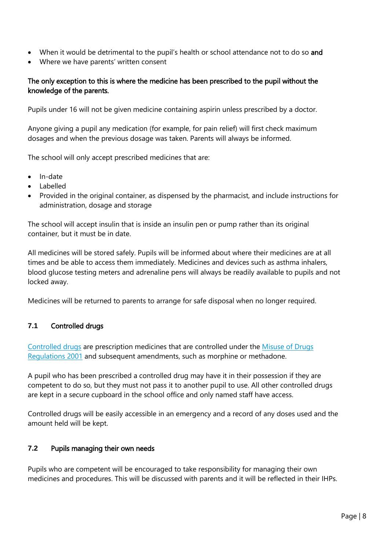- When it would be detrimental to the pupil's health or school attendance not to do so and
- Where we have parents' written consent

# The only exception to this is where the medicine has been prescribed to the pupil without the knowledge of the parents.

Pupils under 16 will not be given medicine containing aspirin unless prescribed by a doctor.

Anyone giving a pupil any medication (for example, for pain relief) will first check maximum dosages and when the previous dosage was taken. Parents will always be informed.

The school will only accept prescribed medicines that are:

- In-date
- Labelled
- Provided in the original container, as dispensed by the pharmacist, and include instructions for administration, dosage and storage

The school will accept insulin that is inside an insulin pen or pump rather than its original container, but it must be in date.

All medicines will be stored safely. Pupils will be informed about where their medicines are at all times and be able to access them immediately. Medicines and devices such as asthma inhalers, blood glucose testing meters and adrenaline pens will always be readily available to pupils and not locked away.

Medicines will be returned to parents to arrange for safe disposal when no longer required.

# <span id="page-7-0"></span>**7.1** Controlled drugs

[Controlled drugs](http://www.nhs.uk/chq/Pages/1391.aspx?CategoryID=73) are prescription medicines that are controlled under the [Misuse of Drugs](http://www.legislation.gov.uk/uksi/2001/3998/schedule/1/made)  [Regulations 2001](http://www.legislation.gov.uk/uksi/2001/3998/schedule/1/made) and subsequent amendments, such as morphine or methadone.

A pupil who has been prescribed a controlled drug may have it in their possession if they are competent to do so, but they must not pass it to another pupil to use. All other controlled drugs are kept in a secure cupboard in the school office and only named staff have access.

Controlled drugs will be easily accessible in an emergency and a record of any doses used and the amount held will be kept.

# <span id="page-7-1"></span>**7.2** Pupils managing their own needs

Pupils who are competent will be encouraged to take responsibility for managing their own medicines and procedures. This will be discussed with parents and it will be reflected in their IHPs.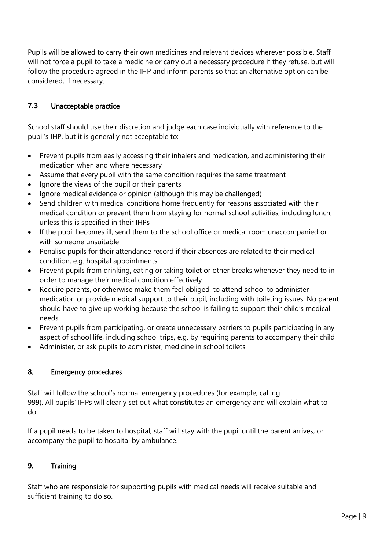Pupils will be allowed to carry their own medicines and relevant devices wherever possible. Staff will not force a pupil to take a medicine or carry out a necessary procedure if they refuse, but will follow the procedure agreed in the IHP and inform parents so that an alternative option can be considered, if necessary.

# <span id="page-8-0"></span>**7.3** Unacceptable practice

School staff should use their discretion and judge each case individually with reference to the pupil's IHP, but it is generally not acceptable to:

- Prevent pupils from easily accessing their inhalers and medication, and administering their medication when and where necessary
- Assume that every pupil with the same condition requires the same treatment
- Ignore the views of the pupil or their parents
- Ignore medical evidence or opinion (although this may be challenged)
- Send children with medical conditions home frequently for reasons associated with their medical condition or prevent them from staying for normal school activities, including lunch, unless this is specified in their IHPs
- If the pupil becomes ill, send them to the school office or medical room unaccompanied or with someone unsuitable
- Penalise pupils for their attendance record if their absences are related to their medical condition, e.g. hospital appointments
- Prevent pupils from drinking, eating or taking toilet or other breaks whenever they need to in order to manage their medical condition effectively
- Require parents, or otherwise make them feel obliged, to attend school to administer medication or provide medical support to their pupil, including with toileting issues. No parent should have to give up working because the school is failing to support their child's medical needs
- Prevent pupils from participating, or create unnecessary barriers to pupils participating in any aspect of school life, including school trips, e.g. by requiring parents to accompany their child
- Administer, or ask pupils to administer, medicine in school toilets

# <span id="page-8-1"></span>8. Emergency procedures

Staff will follow the school's normal emergency procedures (for example, calling 999). All pupils' IHPs will clearly set out what constitutes an emergency and will explain what to do.

If a pupil needs to be taken to hospital, staff will stay with the pupil until the parent arrives, or accompany the pupil to hospital by ambulance.

# <span id="page-8-2"></span>9. Training

Staff who are responsible for supporting pupils with medical needs will receive suitable and sufficient training to do so.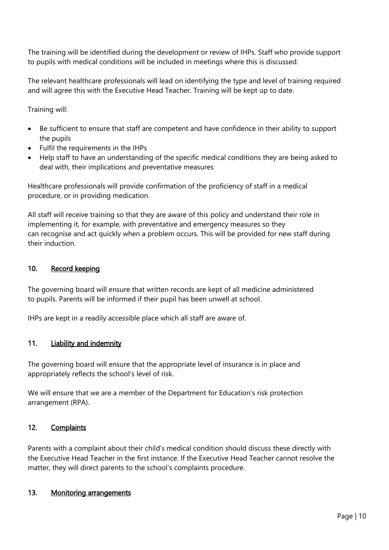The training will be identified during the development or review of IHPs. Staff who provide support to pupils with medical conditions will be included in meetings where this is discussed.

The relevant healthcare professionals will lead on identifying the type and level of training required and will agree this with the Executive Head Teacher. Training will be kept up to date.

Training will:

- Be sufficient to ensure that staff are competent and have confidence in their ability to support the pupils
- Fulfil the requirements in the IHPs
- Help staff to have an understanding of the specific medical conditions they are being asked to deal with, their implications and preventative measures

Healthcare professionals will provide confirmation of the proficiency of staff in a medical procedure, or in providing medication.

All staff will receive training so that they are aware of this policy and understand their role in implementing it, for example, with preventative and emergency measures so they can recognise and act quickly when a problem occurs. This will be provided for new staff during their induction.

#### <span id="page-9-0"></span>10. Record keeping

The governing board will ensure that written records are kept of all medicine administered to pupils. Parents will be informed if their pupil has been unwell at school.

IHPs are kept in a readily accessible place which all staff are aware of.

#### <span id="page-9-1"></span>11. Liability and indemnity

The governing board will ensure that the appropriate level of insurance is in place and appropriately reflects the school's level of risk.

We will ensure that we are a member of the Department for Education's risk protection arrangement (RPA).

#### <span id="page-9-2"></span>12. Complaints

Parents with a complaint about their child's medical condition should discuss these directly with the Executive Head Teacher in the first instance. If the Executive Head Teacher cannot resolve the matter, they will direct parents to the school's complaints procedure.

#### <span id="page-9-3"></span>13. Monitoring arrangements